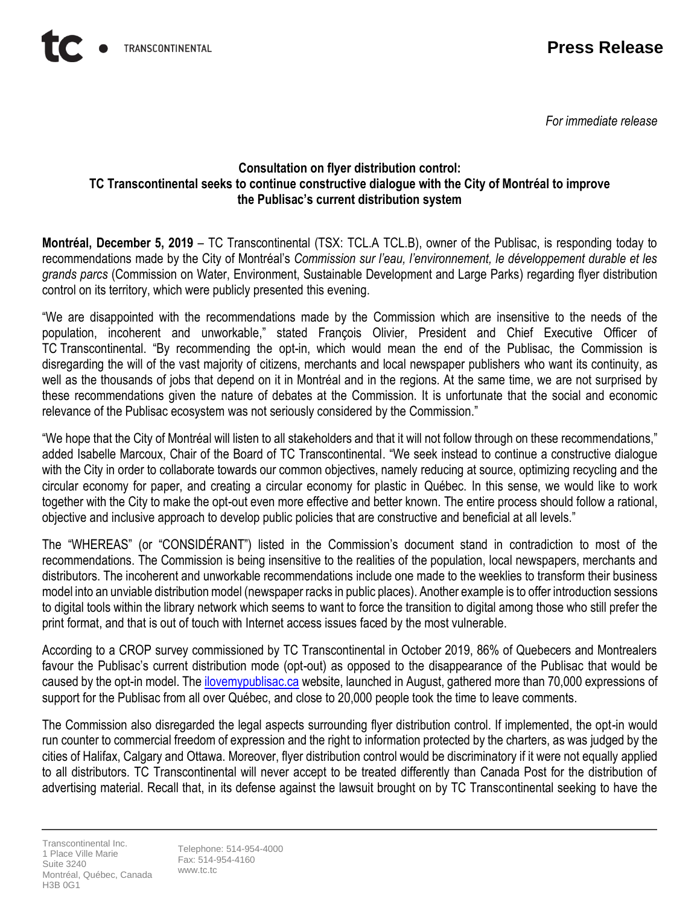*For immediate release*

## **Consultation on flyer distribution control: TC Transcontinental seeks to continue constructive dialogue with the City of Montréal to improve the Publisac's current distribution system**

**Montréal, December 5, 2019** – TC Transcontinental (TSX: TCL.A TCL.B), owner of the Publisac, is responding today to recommendations made by the City of Montréal's *Commission sur l'eau, l'environnement, le développement durable et les grands parcs* (Commission on Water, Environment, Sustainable Development and Large Parks) regarding flyer distribution control on its territory, which were publicly presented this evening.

"We are disappointed with the recommendations made by the Commission which are insensitive to the needs of the population, incoherent and unworkable," stated François Olivier, President and Chief Executive Officer of TC Transcontinental. "By recommending the opt-in, which would mean the end of the Publisac, the Commission is disregarding the will of the vast majority of citizens, merchants and local newspaper publishers who want its continuity, as well as the thousands of jobs that depend on it in Montréal and in the regions. At the same time, we are not surprised by these recommendations given the nature of debates at the Commission. It is unfortunate that the social and economic relevance of the Publisac ecosystem was not seriously considered by the Commission."

"We hope that the City of Montréal will listen to all stakeholders and that it will not follow through on these recommendations," added Isabelle Marcoux, Chair of the Board of TC Transcontinental. "We seek instead to continue a constructive dialogue with the City in order to collaborate towards our common objectives, namely reducing at source, optimizing recycling and the circular economy for paper, and creating a circular economy for plastic in Québec. In this sense, we would like to work together with the City to make the opt-out even more effective and better known. The entire process should follow a rational, objective and inclusive approach to develop public policies that are constructive and beneficial at all levels."

The "WHEREAS" (or "CONSIDÉRANT") listed in the Commission's document stand in contradiction to most of the recommendations. The Commission is being insensitive to the realities of the population, local newspapers, merchants and distributors. The incoherent and unworkable recommendations include one made to the weeklies to transform their business model into an unviable distribution model (newspaper racks in public places). Another example is to offer introduction sessions to digital tools within the library network which seems to want to force the transition to digital among those who still prefer the print format, and that is out of touch with Internet access issues faced by the most vulnerable.

According to a CROP survey commissioned by TC Transcontinental in October 2019, 86% of Quebecers and Montrealers favour the Publisac's current distribution mode (opt-out) as opposed to the disappearance of the Publisac that would be caused by the opt-in model. The [ilovemypublisac.ca](https://ilovemypublisac.ca/) website, launched in August, gathered more than 70,000 expressions of support for the Publisac from all over Québec, and close to 20,000 people took the time to leave comments.

The Commission also disregarded the legal aspects surrounding flyer distribution control. If implemented, the opt-in would run counter to commercial freedom of expression and the right to information protected by the charters, as was judged by the cities of Halifax, Calgary and Ottawa. Moreover, flyer distribution control would be discriminatory if it were not equally applied to all distributors. TC Transcontinental will never accept to be treated differently than Canada Post for the distribution of advertising material. Recall that, in its defense against the lawsuit brought on by TC Transcontinental seeking to have the

Transcontinental Inc. 1 Place Ville Marie Suite 3240 Montréal, Québec, Canada H3B 0G1

Telephone: 514-954-4000 Fax: 514-954-4160 www.tc.tc